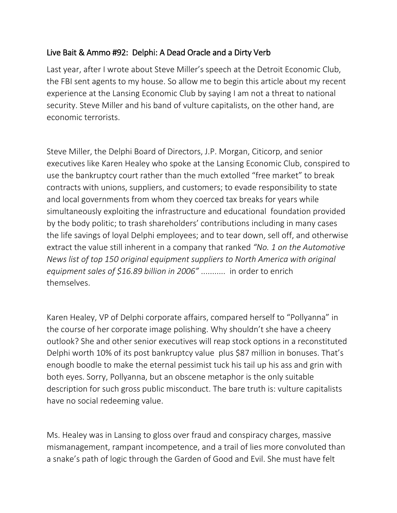## Live Bait & Ammo #92: Delphi: A Dead Oracle and a Dirty Verb

Last year, after I wrote about Steve Miller's speech at the Detroit Economic Club, the FBI sent agents to my house. So allow me to begin this article about my recent experience at the Lansing Economic Club by saying I am not a threat to national security. Steve Miller and his band of vulture capitalists, on the other hand, are economic terrorists.

Steve Miller, the Delphi Board of Directors, J.P. Morgan, Citicorp, and senior executives like Karen Healey who spoke at the Lansing Economic Club, conspired to use the bankruptcy court rather than the much extolled "free market" to break contracts with unions, suppliers, and customers; to evade responsibility to state and local governments from whom they coerced tax breaks for years while simultaneously exploiting the infrastructure and educational foundation provided by the body politic; to trash shareholders' contributions including in many cases the life savings of loyal Delphi employees; and to tear down, sell off, and otherwise extract the value still inherent in a company that ranked *"No. 1 on the Automotive News list of top 150 original equipment suppliers to North America with original equipment sales of \$16.89 billion in 2006"* ........... in order to enrich themselves.

Karen Healey, VP of Delphi corporate affairs, compared herself to "Pollyanna" in the course of her corporate image polishing. Why shouldn't she have a cheery outlook? She and other senior executives will reap stock options in a reconstituted Delphi worth 10% of its post bankruptcy value plus \$87 million in bonuses. That's enough boodle to make the eternal pessimist tuck his tail up his ass and grin with both eyes. Sorry, Pollyanna, but an obscene metaphor is the only suitable description for such gross public misconduct. The bare truth is: vulture capitalists have no social redeeming value.

Ms. Healey was in Lansing to gloss over fraud and conspiracy charges, massive mismanagement, rampant incompetence, and a trail of lies more convoluted than a snake's path of logic through the Garden of Good and Evil. She must have felt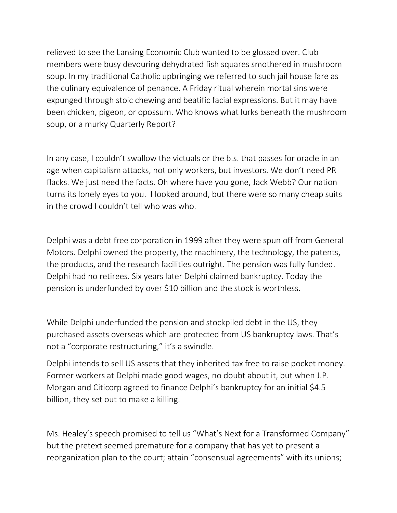relieved to see the Lansing Economic Club wanted to be glossed over. Club members were busy devouring dehydrated fish squares smothered in mushroom soup. In my traditional Catholic upbringing we referred to such jail house fare as the culinary equivalence of penance. A Friday ritual wherein mortal sins were expunged through stoic chewing and beatific facial expressions. But it may have been chicken, pigeon, or opossum. Who knows what lurks beneath the mushroom soup, or a murky Quarterly Report?

In any case, I couldn't swallow the victuals or the b.s. that passes for oracle in an age when capitalism attacks, not only workers, but investors. We don't need PR flacks. We just need the facts. Oh where have you gone, Jack Webb? Our nation turns its lonely eyes to you. I looked around, but there were so many cheap suits in the crowd I couldn't tell who was who.

Delphi was a debt free corporation in 1999 after they were spun off from General Motors. Delphi owned the property, the machinery, the technology, the patents, the products, and the research facilities outright. The pension was fully funded. Delphi had no retirees. Six years later Delphi claimed bankruptcy. Today the pension is underfunded by over \$10 billion and the stock is worthless.

While Delphi underfunded the pension and stockpiled debt in the US, they purchased assets overseas which are protected from US bankruptcy laws. That's not a "corporate restructuring," it's a swindle.

Delphi intends to sell US assets that they inherited tax free to raise pocket money. Former workers at Delphi made good wages, no doubt about it, but when J.P. Morgan and Citicorp agreed to finance Delphi's bankruptcy for an initial \$4.5 billion, they set out to make a killing.

Ms. Healey's speech promised to tell us "What's Next for a Transformed Company" but the pretext seemed premature for a company that has yet to present a reorganization plan to the court; attain "consensual agreements" with its unions;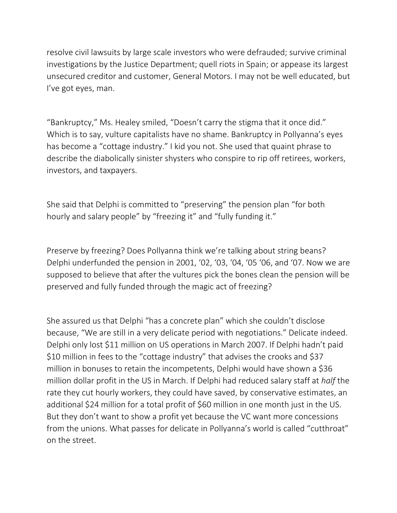resolve civil lawsuits by large scale investors who were defrauded; survive criminal investigations by the Justice Department; quell riots in Spain; or appease its largest unsecured creditor and customer, General Motors. I may not be well educated, but I've got eyes, man.

"Bankruptcy," Ms. Healey smiled, "Doesn't carry the stigma that it once did." Which is to say, vulture capitalists have no shame. Bankruptcy in Pollyanna's eyes has become a "cottage industry." I kid you not. She used that quaint phrase to describe the diabolically sinister shysters who conspire to rip off retirees, workers, investors, and taxpayers.

She said that Delphi is committed to "preserving" the pension plan "for both hourly and salary people" by "freezing it" and "fully funding it."

Preserve by freezing? Does Pollyanna think we're talking about string beans? Delphi underfunded the pension in 2001, '02, '03, '04, '05 '06, and '07. Now we are supposed to believe that after the vultures pick the bones clean the pension will be preserved and fully funded through the magic act of freezing?

She assured us that Delphi "has a concrete plan" which she couldn't disclose because, "We are still in a very delicate period with negotiations." Delicate indeed. Delphi only lost \$11 million on US operations in March 2007. If Delphi hadn't paid \$10 million in fees to the "cottage industry" that advises the crooks and \$37 million in bonuses to retain the incompetents, Delphi would have shown a \$36 million dollar profit in the US in March. If Delphi had reduced salary staff at *half* the rate they cut hourly workers, they could have saved, by conservative estimates, an additional \$24 million for a total profit of \$60 million in one month just in the US. But they don't want to show a profit yet because the VC want more concessions from the unions. What passes for delicate in Pollyanna's world is called "cutthroat" on the street.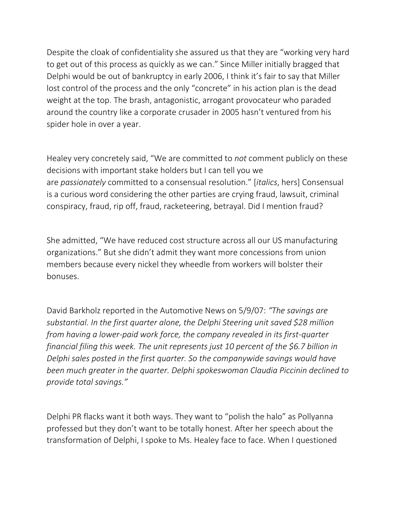Despite the cloak of confidentiality she assured us that they are "working very hard to get out of this process as quickly as we can." Since Miller initially bragged that Delphi would be out of bankruptcy in early 2006, I think it's fair to say that Miller lost control of the process and the only "concrete" in his action plan is the dead weight at the top. The brash, antagonistic, arrogant provocateur who paraded around the country like a corporate crusader in 2005 hasn't ventured from his spider hole in over a year.

Healey very concretely said, "We are committed to *not* comment publicly on these decisions with important stake holders but I can tell you we are *passionately* committed to a consensual resolution." [*italics*, hers] Consensual is a curious word considering the other parties are crying fraud, lawsuit, criminal conspiracy, fraud, rip off, fraud, racketeering, betrayal. Did I mention fraud?

She admitted, "We have reduced cost structure across all our US manufacturing organizations." But she didn't admit they want more concessions from union members because every nickel they wheedle from workers will bolster their bonuses.

David Barkholz reported in the Automotive News on 5/9/07: *"The savings are substantial. In the first quarter alone, the Delphi Steering unit saved \$28 million from having a lower-paid work force, the company revealed in its first-quarter financial filing this week. The unit represents just 10 percent of the \$6.7 billion in Delphi sales posted in the first quarter. So the companywide savings would have been much greater in the quarter. Delphi spokeswoman Claudia Piccinin declined to provide total savings."*

Delphi PR flacks want it both ways. They want to "polish the halo" as Pollyanna professed but they don't want to be totally honest. After her speech about the transformation of Delphi, I spoke to Ms. Healey face to face. When I questioned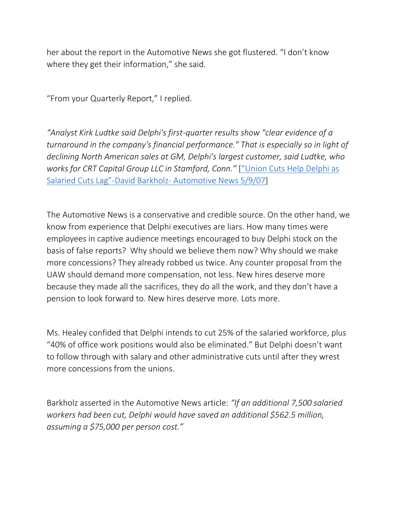her about the report in the Automotive News she got flustered. "I don't know where they get their information," she said.

"From your Quarterly Report," I replied.

*"Analyst Kirk Ludtke said Delphi's first-quarter results show "clear evidence of a turnaround in the company's financial performance." That is especially so in light of declining North American sales at GM, Delphi's largest customer, said Ludtke, who works for CRT Capital Group LLC in Stamford, Conn."* [["Union Cuts Help Delphi as](http://soldiersofsolidarity.org/files/relatednewsandreports07/UnioncutshelpDelphiassalariedcutslag5907.html)  Salaried Cuts Lag"-David Barkholz- [Automotive News 5/9/07\]](http://soldiersofsolidarity.org/files/relatednewsandreports07/UnioncutshelpDelphiassalariedcutslag5907.html)

The Automotive News is a conservative and credible source. On the other hand, we know from experience that Delphi executives are liars. How many times were employees in captive audience meetings encouraged to buy Delphi stock on the basis of false reports? Why should we believe them now? Why should we make more concessions? They already robbed us twice. Any counter proposal from the UAW should demand more compensation, not less. New hires deserve more because they made all the sacrifices, they do all the work, and they don't have a pension to look forward to. New hires deserve more. Lots more.

Ms. Healey confided that Delphi intends to cut 25% of the salaried workforce, plus "40% of office work positions would also be eliminated." But Delphi doesn't want to follow through with salary and other administrative cuts until after they wrest more concessions from the unions.

Barkholz asserted in the Automotive News article: *"If an additional 7,500 salaried workers had been cut, Delphi would have saved an additional \$562.5 million, assuming a \$75,000 per person cost."*